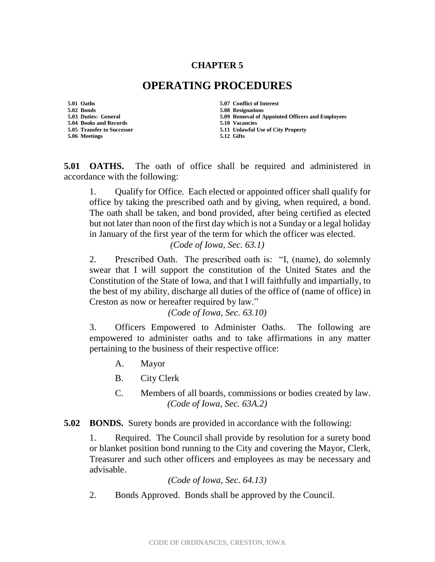## **CHAPTER 5**

## **OPERATING PROCEDURES**

**5.01 Oaths 5.07 Conflict of Interest 5.02 Bonds 5.08 Resignations 5.04 Books and Records 5.10 Vacancies 5.06 Meetings 5.12 Gifts**

**5.09 Removal of Appointed Officers and Employees 5.05 Transfer to Successor 5.11 Unlawful Use of City Property**

**5.01 OATHS.** The oath of office shall be required and administered in accordance with the following:

1. Qualify for Office. Each elected or appointed officer shall qualify for office by taking the prescribed oath and by giving, when required, a bond. The oath shall be taken, and bond provided, after being certified as elected but not later than noon of the first day which is not a Sunday or a legal holiday in January of the first year of the term for which the officer was elected. *(Code of Iowa, Sec. 63.1)*

2. Prescribed Oath. The prescribed oath is: "I, (name), do solemnly swear that I will support the constitution of the United States and the Constitution of the State of Iowa, and that I will faithfully and impartially, to the best of my ability, discharge all duties of the office of (name of office) in Creston as now or hereafter required by law."

*(Code of Iowa, Sec. 63.10)*

3. Officers Empowered to Administer Oaths. The following are empowered to administer oaths and to take affirmations in any matter pertaining to the business of their respective office:

- A. Mayor
- B. City Clerk
- C. Members of all boards, commissions or bodies created by law. *(Code of Iowa, Sec. 63A.2)*

## **5.02 BONDS.** Surety bonds are provided in accordance with the following:

1. Required. The Council shall provide by resolution for a surety bond or blanket position bond running to the City and covering the Mayor, Clerk, Treasurer and such other officers and employees as may be necessary and advisable.

*(Code of Iowa, Sec. 64.13)*

2. Bonds Approved. Bonds shall be approved by the Council.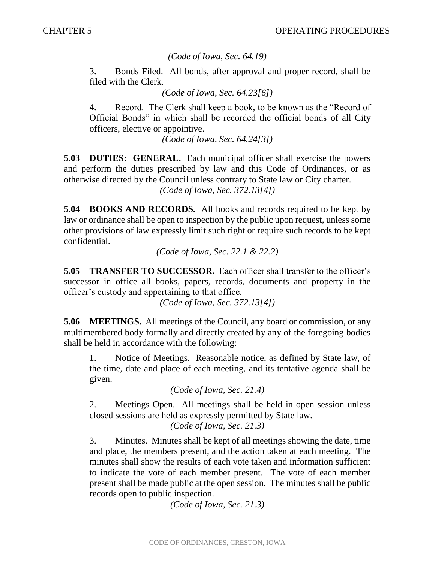*(Code of Iowa, Sec. 64.19)*

3. Bonds Filed. All bonds, after approval and proper record, shall be filed with the Clerk.

*(Code of Iowa, Sec. 64.23[6])*

4. Record. The Clerk shall keep a book, to be known as the "Record of Official Bonds" in which shall be recorded the official bonds of all City officers, elective or appointive.

*(Code of Iowa, Sec. 64.24[3])*

**5.03 DUTIES: GENERAL.** Each municipal officer shall exercise the powers and perform the duties prescribed by law and this Code of Ordinances, or as otherwise directed by the Council unless contrary to State law or City charter. *(Code of Iowa, Sec. 372.13[4])*

**5.04 BOOKS AND RECORDS.** All books and records required to be kept by law or ordinance shall be open to inspection by the public upon request, unless some other provisions of law expressly limit such right or require such records to be kept confidential.

*(Code of Iowa, Sec. 22.1 & 22.2)*

**5.05 TRANSFER TO SUCCESSOR.** Each officer shall transfer to the officer's successor in office all books, papers, records, documents and property in the officer's custody and appertaining to that office.

*(Code of Iowa, Sec. 372.13[4])*

**5.06 MEETINGS.** All meetings of the Council, any board or commission, or any multimembered body formally and directly created by any of the foregoing bodies shall be held in accordance with the following:

1. Notice of Meetings. Reasonable notice, as defined by State law, of the time, date and place of each meeting, and its tentative agenda shall be given.

```
(Code of Iowa, Sec. 21.4)
```
2. Meetings Open. All meetings shall be held in open session unless closed sessions are held as expressly permitted by State law.

*(Code of Iowa, Sec. 21.3)*

3. Minutes. Minutes shall be kept of all meetings showing the date, time and place, the members present, and the action taken at each meeting. The minutes shall show the results of each vote taken and information sufficient to indicate the vote of each member present. The vote of each member present shall be made public at the open session. The minutes shall be public records open to public inspection.

*(Code of Iowa, Sec. 21.3)*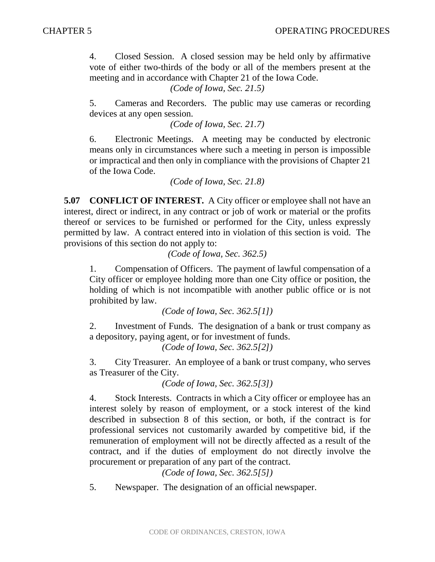4. Closed Session. A closed session may be held only by affirmative vote of either two-thirds of the body or all of the members present at the meeting and in accordance with Chapter 21 of the Iowa Code.

*(Code of Iowa, Sec. 21.5)*

5. Cameras and Recorders. The public may use cameras or recording devices at any open session.

*(Code of Iowa, Sec. 21.7)*

6. Electronic Meetings. A meeting may be conducted by electronic means only in circumstances where such a meeting in person is impossible or impractical and then only in compliance with the provisions of Chapter 21 of the Iowa Code.

*(Code of Iowa, Sec. 21.8)*

**5.07 CONFLICT OF INTEREST.** A City officer or employee shall not have an interest, direct or indirect, in any contract or job of work or material or the profits thereof or services to be furnished or performed for the City, unless expressly permitted by law. A contract entered into in violation of this section is void. The provisions of this section do not apply to:

*(Code of Iowa, Sec. 362.5)*

1. Compensation of Officers. The payment of lawful compensation of a City officer or employee holding more than one City office or position, the holding of which is not incompatible with another public office or is not prohibited by law.

*(Code of Iowa, Sec. 362.5[1])*

2. Investment of Funds. The designation of a bank or trust company as a depository, paying agent, or for investment of funds.

*(Code of Iowa, Sec. 362.5[2])*

3. City Treasurer. An employee of a bank or trust company, who serves as Treasurer of the City.

*(Code of Iowa, Sec. 362.5[3])*

4. Stock Interests. Contracts in which a City officer or employee has an interest solely by reason of employment, or a stock interest of the kind described in subsection 8 of this section, or both, if the contract is for professional services not customarily awarded by competitive bid, if the remuneration of employment will not be directly affected as a result of the contract, and if the duties of employment do not directly involve the procurement or preparation of any part of the contract.

*(Code of Iowa, Sec. 362.5[5])*

5. Newspaper. The designation of an official newspaper.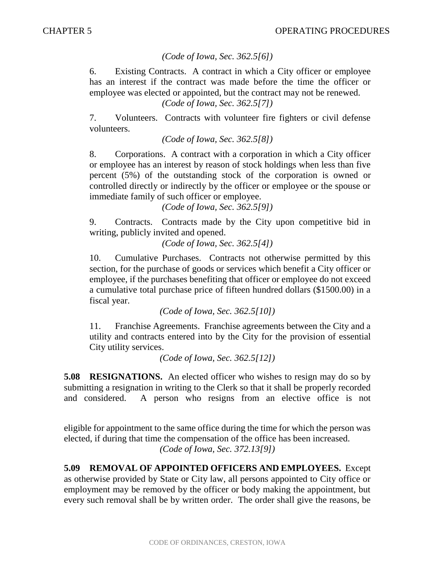## *(Code of Iowa, Sec. 362.5[6])*

6. Existing Contracts. A contract in which a City officer or employee has an interest if the contract was made before the time the officer or employee was elected or appointed, but the contract may not be renewed. *(Code of Iowa, Sec. 362.5[7])*

7. Volunteers. Contracts with volunteer fire fighters or civil defense volunteers.

*(Code of Iowa, Sec. 362.5[8])*

8. Corporations. A contract with a corporation in which a City officer or employee has an interest by reason of stock holdings when less than five percent (5%) of the outstanding stock of the corporation is owned or controlled directly or indirectly by the officer or employee or the spouse or immediate family of such officer or employee.

*(Code of Iowa, Sec. 362.5[9])*

9. Contracts. Contracts made by the City upon competitive bid in writing, publicly invited and opened.

*(Code of Iowa, Sec. 362.5[4])*

10. Cumulative Purchases. Contracts not otherwise permitted by this section, for the purchase of goods or services which benefit a City officer or employee, if the purchases benefiting that officer or employee do not exceed a cumulative total purchase price of fifteen hundred dollars (\$1500.00) in a fiscal year.

*(Code of Iowa, Sec. 362.5[10])*

11. Franchise Agreements. Franchise agreements between the City and a utility and contracts entered into by the City for the provision of essential City utility services.

*(Code of Iowa, Sec. 362.5[12])*

**5.08 RESIGNATIONS.** An elected officer who wishes to resign may do so by submitting a resignation in writing to the Clerk so that it shall be properly recorded and considered. A person who resigns from an elective office is not

eligible for appointment to the same office during the time for which the person was elected, if during that time the compensation of the office has been increased. *(Code of Iowa, Sec. 372.13[9])*

**5.09 REMOVAL OF APPOINTED OFFICERS AND EMPLOYEES.** Except as otherwise provided by State or City law, all persons appointed to City office or employment may be removed by the officer or body making the appointment, but every such removal shall be by written order. The order shall give the reasons, be